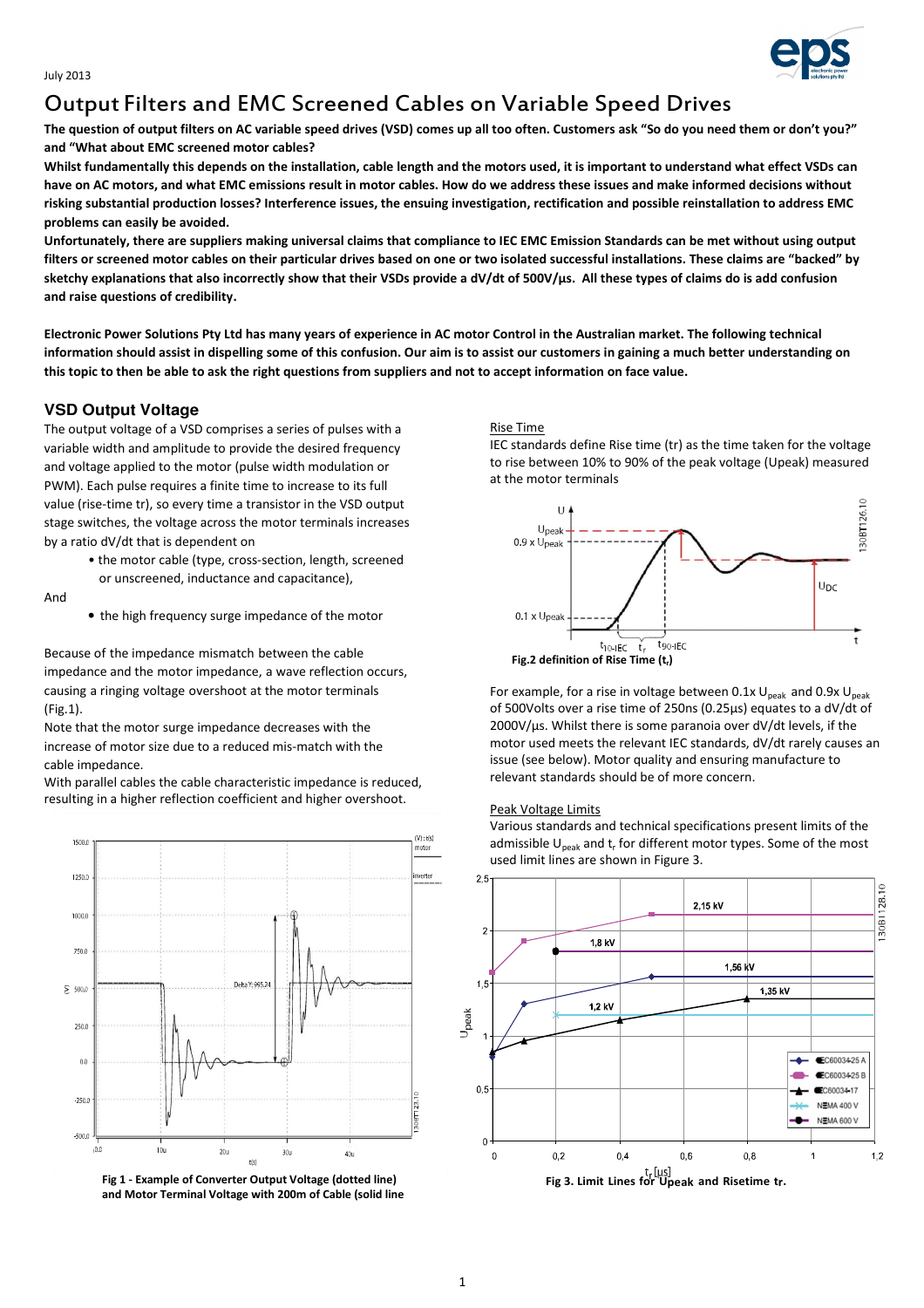

# Output Filters and EMC Screened Cables on Variable Speed Drives

The question of output filters on AC variable speed drives (VSD) comes up all too often. Customers ask "So do you need them or don't you?" and "What about EMC screened motor cables?

Whilst fundamentally this depends on the installation, cable length and the motors used, it is important to understand what effect VSDs can have on AC motors, and what EMC emissions result in motor cables. How do we address these issues and make informed decisions without risking substantial production losses? Interference issues, the ensuing investigation, rectification and possible reinstallation to address EMC problems can easily be avoided.

Unfortunately, there are suppliers making universal claims that compliance to IEC EMC Emission Standards can be met without using output filters or screened motor cables on their particular drives based on one or two isolated successful installations. These claims are "backed" by sketchy explanations that also incorrectly show that their VSDs provide a dV/dt of 500V/µs. All these types of claims do is add confusion and raise questions of credibility.

Electronic Power Solutions Pty Ltd has many years of experience in AC motor Control in the Australian market. The following technical information should assist in dispelling some of this confusion. Our aim is to assist our customers in gaining a much better understanding on this topic to then be able to ask the right questions from suppliers and not to accept information on face value.

# **VSD Output Voltage**

The output voltage of a VSD comprises a series of pulses with a variable width and amplitude to provide the desired frequency and voltage applied to the motor (pulse width modulation or PWM). Each pulse requires a finite time to increase to its full value (rise-time tr), so every time a transistor in the VSD output stage switches, the voltage across the motor terminals increases by a ratio dV/dt that is dependent on

And

Because of the impedance mismatch between the cable impedance and the motor impedance, a wave reflection occurs, causing a ringing voltage overshoot at the motor terminals (Fig.1).

Note that the motor surge impedance decreases with the increase of motor size due to a reduced mis-match with the cable impedance.

With parallel cables the cable characteristic impedance is reduced, resulting in a higher reflection coefficient and higher overshoot.



and Motor Terminal Voltage with 200m of Cable (solid line

## Rise Time

IEC standards define Rise time (tr) as the time taken for the voltage to rise between 10% to 90% of the peak voltage (Upeak) measured at the motor terminals



For example, for a rise in voltage between 0.1x  $U_{peak}$  and 0.9x  $U_{peak}$ of 500Volts over a rise time of 250ns (0.25µs) equates to a dV/dt of 2000V/µs. Whilst there is some paranoia over dV/dt levels, if the motor used meets the relevant IEC standards, dV/dt rarely causes an issue (see below). Motor quality and ensuring manufacture to relevant standards should be of more concern.

## Peak Voltage Limits

Various standards and technical specifications present limits of the admissible U<sub>peak</sub> and t<sub>r</sub> for different motor types. Some of the most used limit lines are shown in Figure 3.



<sup>•</sup> the motor cable (type, cross-section, length, screened or unscreened, inductance and capacitance),

<sup>•</sup> the high frequency surge impedance of the motor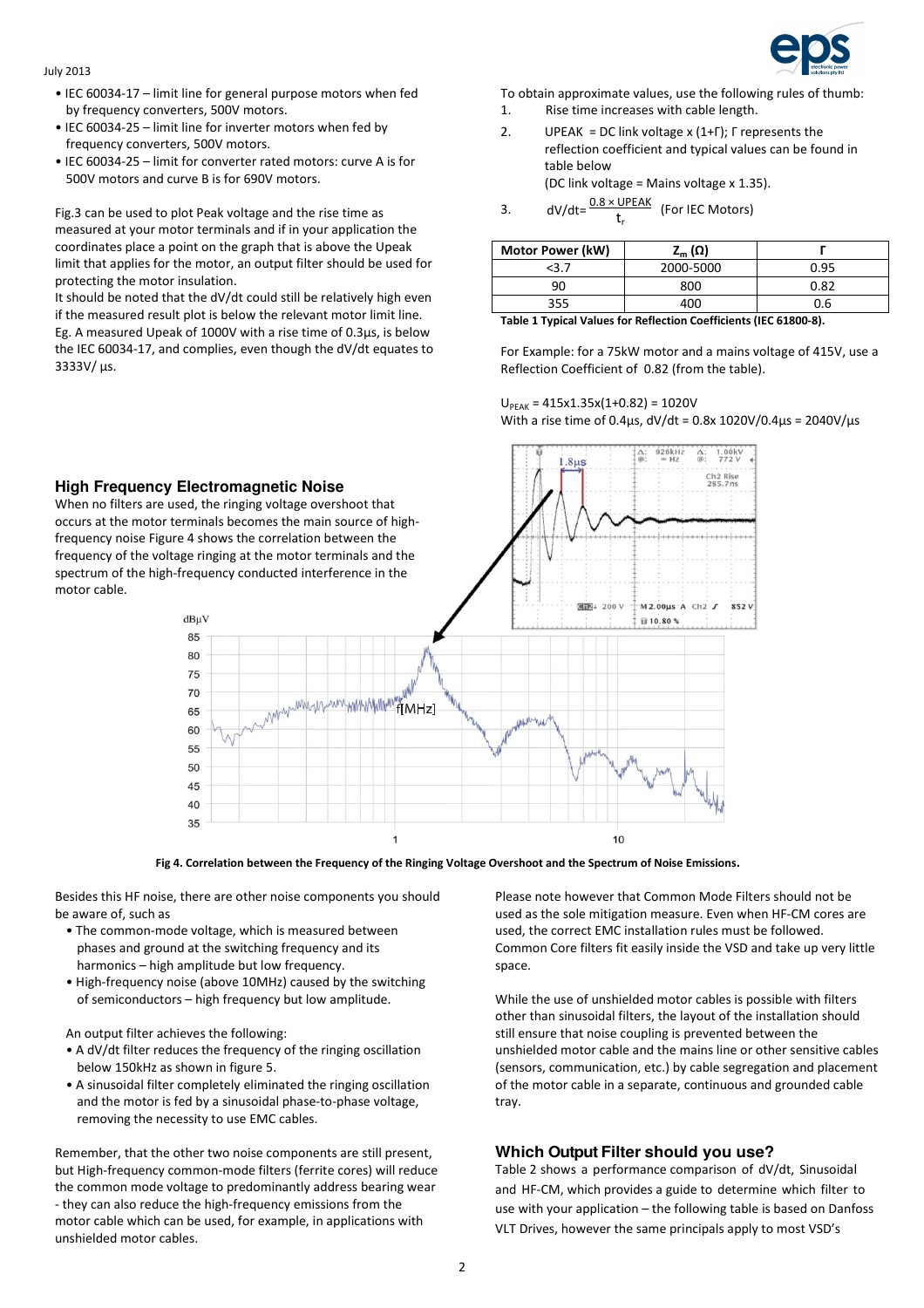## July 2013

motor cable.

- IEC 60034-17 limit line for general purpose motors when fed by frequency converters, 500V motors.
- IEC 60034-25 limit line for inverter motors when fed by frequency converters, 500V motors.
- IEC 60034-25 limit for converter rated motors: curve A is for 500V motors and curve B is for 690V motors.

Fig.3 can be used to plot Peak voltage and the rise time as measured at your motor terminals and if in your application the coordinates place a point on the graph that is above the Upeak limit that applies for the motor, an output filter should be used for protecting the motor insulation.

It should be noted that the dV/dt could still be relatively high even if the measured result plot is below the relevant motor limit line. Eg. A measured Upeak of 1000V with a rise time of 0.3µs, is below the IEC 60034-17, and complies, even though the dV/dt equates to 3333V/ µs.



To obtain approximate values, use the following rules of thumb:

- 1. Rise time increases with cable length.
- 2. UPEAK = DC link voltage x (1+Γ); Γ represents the reflection coefficient and typical values can be found in table below (DC link voltage = Mains voltage x 1.35).
	-
- 3. dV/dt= $\frac{0.8 \times \text{UPEAK}}{t_r}$  (For IEC Motors)

| <b>Motor Power (kW)</b> | z <sub>m</sub> (Ω) |      |
|-------------------------|--------------------|------|
| <3.7                    | 2000-5000          | 0.95 |
| ٩ſ                      | 800                | 0.82 |
| 355                     | 400                | J.b  |

Table 1 Typical Values for Reflection Coefficients (IEC 61800-8).

For Example: for a 75kW motor and a mains voltage of 415V, use a Reflection Coefficient of 0.82 (from the table).

## $U_{PFAK} = 415x1.35x(1+0.82) = 1020V$ With a rise time of 0.4µs, dV/dt = 0.8x 1020V/0.4µs = 2040V/µs



Fig 4. Correlation between the Frequency of the Ringing Voltage Overshoot and the Spectrum of Noise Emissions.

Besides this HF noise, there are other noise components you should be aware of, such as

- The common-mode voltage, which is measured between phases and ground at the switching frequency and its harmonics – high amplitude but low frequency.
- High-frequency noise (above 10MHz) caused by the switching of semiconductors – high frequency but low amplitude.

An output filter achieves the following:

- A dV/dt filter reduces the frequency of the ringing oscillation below 150kHz as shown in figure 5.
- A sinusoidal filter completely eliminated the ringing oscillation and the motor is fed by a sinusoidal phase-to-phase voltage, removing the necessity to use EMC cables.

Remember, that the other two noise components are still present, but High-frequency common-mode filters (ferrite cores) will reduce the common mode voltage to predominantly address bearing wear - they can also reduce the high-frequency emissions from the motor cable which can be used, for example, in applications with unshielded motor cables.

Please note however that Common Mode Filters should not be used as the sole mitigation measure. Even when HF-CM cores are used, the correct EMC installation rules must be followed. Common Core filters fit easily inside the VSD and take up very little space.

While the use of unshielded motor cables is possible with filters other than sinusoidal filters, the layout of the installation should still ensure that noise coupling is prevented between the unshielded motor cable and the mains line or other sensitive cables (sensors, communication, etc.) by cable segregation and placement of the motor cable in a separate, continuous and grounded cable tray.

# **Which Output Filter should you use?**

Table 2 shows a performance comparison of dV/dt, Sinusoidal and HF-CM, which provides a guide to determine which filter to use with your application – the following table is based on Danfoss VLT Drives, however the same principals apply to most VSD's